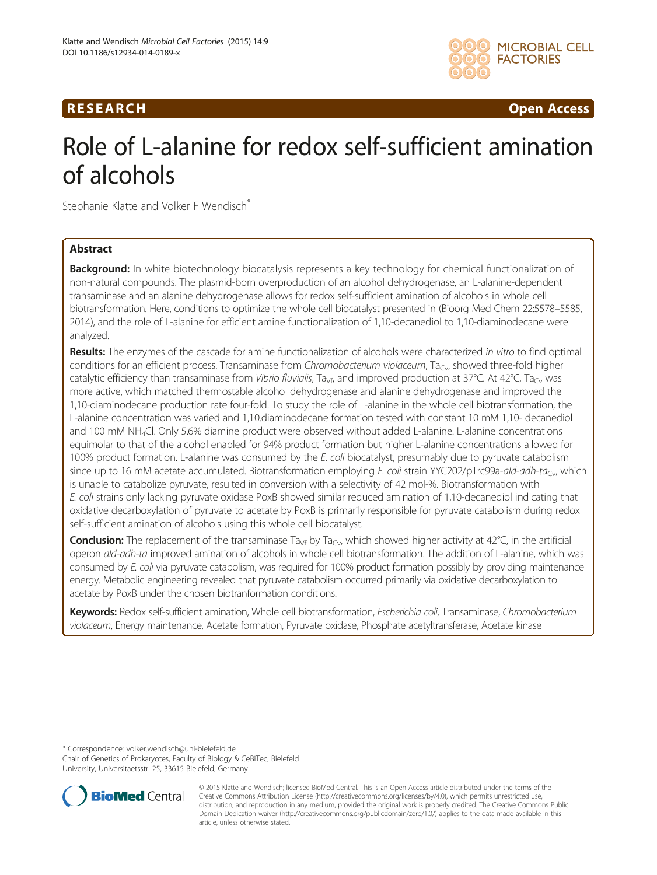# R E S EAR CH Open Access



# Role of L-alanine for redox self-sufficient amination of alcohols

Stephanie Klatte and Volker F Wendisch<sup>\*</sup>

# Abstract

**Background:** In white biotechnology biocatalysis represents a key technology for chemical functionalization of non-natural compounds. The plasmid-born overproduction of an alcohol dehydrogenase, an L-alanine-dependent transaminase and an alanine dehydrogenase allows for redox self-sufficient amination of alcohols in whole cell biotransformation. Here, conditions to optimize the whole cell biocatalyst presented in (Bioorg Med Chem 22:5578–5585, 2014), and the role of L-alanine for efficient amine functionalization of 1,10-decanediol to 1,10-diaminodecane were analyzed.

Results: The enzymes of the cascade for amine functionalization of alcohols were characterized in vitro to find optimal conditions for an efficient process. Transaminase from Chromobacterium violaceum, Ta<sub>Cy</sub>, showed three-fold higher catalytic efficiency than transaminase from Vibrio fluvialis, Ta<sub>Vf</sub>, and improved production at 37°C. At 42°C, Ta<sub>Cv</sub> was more active, which matched thermostable alcohol dehydrogenase and alanine dehydrogenase and improved the 1,10-diaminodecane production rate four-fold. To study the role of L-alanine in the whole cell biotransformation, the L-alanine concentration was varied and 1,10.diaminodecane formation tested with constant 10 mM 1,10- decanediol and 100 mM NH4Cl. Only 5.6% diamine product were observed without added L-alanine. L-alanine concentrations equimolar to that of the alcohol enabled for 94% product formation but higher L-alanine concentrations allowed for 100% product formation. L-alanine was consumed by the E. coli biocatalyst, presumably due to pyruvate catabolism since up to 16 mM acetate accumulated. Biotransformation employing E. coli strain YYC202/pTrc99a-ald-adh-ta<sub>Cv</sub>, which is unable to catabolize pyruvate, resulted in conversion with a selectivity of 42 mol-%. Biotransformation with E. coli strains only lacking pyruvate oxidase PoxB showed similar reduced amination of 1,10-decanediol indicating that oxidative decarboxylation of pyruvate to acetate by PoxB is primarily responsible for pyruvate catabolism during redox self-sufficient amination of alcohols using this whole cell biocatalyst.

**Conclusion:** The replacement of the transaminase Ta<sub>vf</sub> by Ta<sub>Cv</sub>, which showed higher activity at 42°C, in the artificial operon ald-adh-ta improved amination of alcohols in whole cell biotransformation. The addition of L-alanine, which was consumed by E. coli via pyruvate catabolism, was required for 100% product formation possibly by providing maintenance energy. Metabolic engineering revealed that pyruvate catabolism occurred primarily via oxidative decarboxylation to acetate by PoxB under the chosen biotranformation conditions.

Keywords: Redox self-sufficient amination, Whole cell biotransformation, Escherichia coli, Transaminase, Chromobacterium violaceum, Energy maintenance, Acetate formation, Pyruvate oxidase, Phosphate acetyltransferase, Acetate kinase

\* Correspondence: [volker.wendisch@uni-bielefeld.de](mailto:volker.wendisch@uni-bielefeld.de)

Chair of Genetics of Prokaryotes, Faculty of Biology & CeBiTec, Bielefeld University, Universitaetsstr. 25, 33615 Bielefeld, Germany



<sup>© 2015</sup> Klatte and Wendisch; licensee BioMed Central. This is an Open Access article distributed under the terms of the Creative Commons Attribution License (<http://creativecommons.org/licenses/by/4.0>), which permits unrestricted use, distribution, and reproduction in any medium, provided the original work is properly credited. The Creative Commons Public Domain Dedication waiver [\(http://creativecommons.org/publicdomain/zero/1.0/\)](http://creativecommons.org/publicdomain/zero/1.0/) applies to the data made available in this article, unless otherwise stated.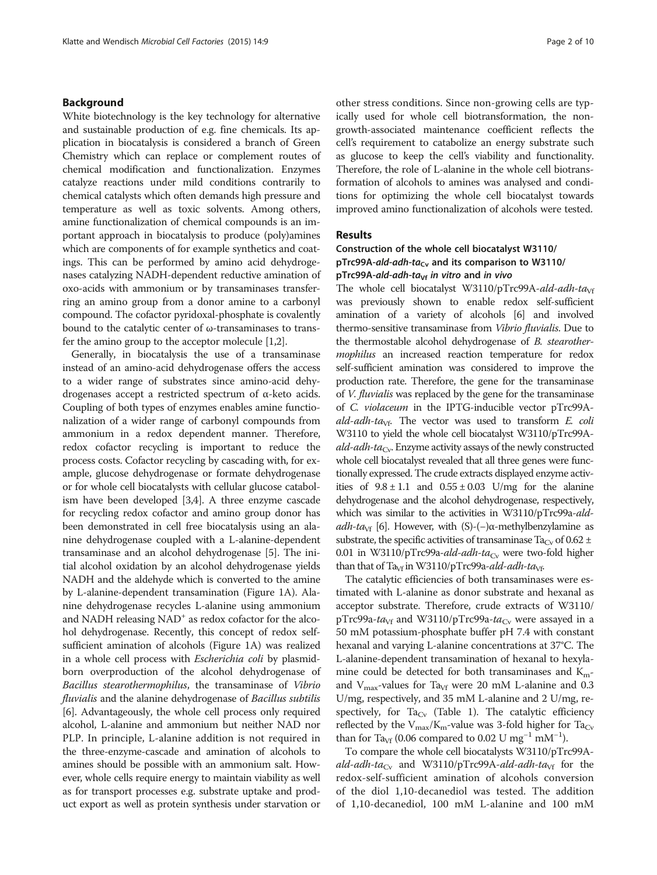#### Background

White biotechnology is the key technology for alternative and sustainable production of e.g. fine chemicals. Its application in biocatalysis is considered a branch of Green Chemistry which can replace or complement routes of chemical modification and functionalization. Enzymes catalyze reactions under mild conditions contrarily to chemical catalysts which often demands high pressure and temperature as well as toxic solvents. Among others, amine functionalization of chemical compounds is an important approach in biocatalysis to produce (poly)amines which are components of for example synthetics and coatings. This can be performed by amino acid dehydrogenases catalyzing NADH-dependent reductive amination of oxo-acids with ammonium or by transaminases transferring an amino group from a donor amine to a carbonyl compound. The cofactor pyridoxal-phosphate is covalently bound to the catalytic center of ω-transaminases to transfer the amino group to the acceptor molecule [[1,2](#page-9-0)].

Generally, in biocatalysis the use of a transaminase instead of an amino-acid dehydrogenase offers the access to a wider range of substrates since amino-acid dehydrogenases accept a restricted spectrum of α-keto acids. Coupling of both types of enzymes enables amine functionalization of a wider range of carbonyl compounds from ammonium in a redox dependent manner. Therefore, redox cofactor recycling is important to reduce the process costs. Cofactor recycling by cascading with, for example, glucose dehydrogenase or formate dehydrogenase or for whole cell biocatalysts with cellular glucose catabolism have been developed [\[3,4](#page-9-0)]. A three enzyme cascade for recycling redox cofactor and amino group donor has been demonstrated in cell free biocatalysis using an alanine dehydrogenase coupled with a L-alanine-dependent transaminase and an alcohol dehydrogenase [\[5](#page-9-0)]. The initial alcohol oxidation by an alcohol dehydrogenase yields NADH and the aldehyde which is converted to the amine by L-alanine-dependent transamination (Figure [1](#page-2-0)A). Alanine dehydrogenase recycles L-alanine using ammonium and NADH releasing  $NAD<sup>+</sup>$  as redox cofactor for the alcohol dehydrogenase. Recently, this concept of redox selfsufficient amination of alcohols (Figure [1A](#page-2-0)) was realized in a whole cell process with *Escherichia coli* by plasmidborn overproduction of the alcohol dehydrogenase of Bacillus stearothermophilus, the transaminase of Vibrio fluvialis and the alanine dehydrogenase of Bacillus subtilis [[6\]](#page-9-0). Advantageously, the whole cell process only required alcohol, L-alanine and ammonium but neither NAD nor PLP. In principle, L-alanine addition is not required in the three-enzyme-cascade and amination of alcohols to amines should be possible with an ammonium salt. However, whole cells require energy to maintain viability as well as for transport processes e.g. substrate uptake and product export as well as protein synthesis under starvation or

other stress conditions. Since non-growing cells are typically used for whole cell biotransformation, the nongrowth-associated maintenance coefficient reflects the cell's requirement to catabolize an energy substrate such as glucose to keep the cell's viability and functionality. Therefore, the role of L-alanine in the whole cell biotransformation of alcohols to amines was analysed and conditions for optimizing the whole cell biocatalyst towards improved amino functionalization of alcohols were tested.

#### Results

# Construction of the whole cell biocatalyst W3110/ pTrc99A-ald-adh-ta<sub>Cv</sub> and its comparison to W3110/ pTrc99A-ald-adh-ta<sub>Vf</sub> in vitro and in vivo

The whole cell biocatalyst W3110/pTrc99A-ald-adh-ta<sub>Vf</sub> was previously shown to enable redox self-sufficient amination of a variety of alcohols [[6](#page-9-0)] and involved thermo-sensitive transaminase from Vibrio fluvialis. Due to the thermostable alcohol dehydrogenase of B. stearothermophilus an increased reaction temperature for redox self-sufficient amination was considered to improve the production rate. Therefore, the gene for the transaminase of *V. fluvialis* was replaced by the gene for the transaminase of C. violaceum in the IPTG-inducible vector pTrc99Aald-adh-ta<sub>Vf</sub>. The vector was used to transform E. coli W3110 to yield the whole cell biocatalyst W3110/pTrc99A $ald-adh-ta<sub>Cv</sub>$ . Enzyme activity assays of the newly constructed whole cell biocatalyst revealed that all three genes were functionally expressed. The crude extracts displayed enzyme activities of  $9.8 \pm 1.1$  and  $0.55 \pm 0.03$  U/mg for the alanine dehydrogenase and the alcohol dehydrogenase, respectively, which was similar to the activities in W3110/pTrc99a-ald-adh-ta<sub>Vf</sub> [[6](#page-9-0)]. However, with (S)-(−) $\alpha$ -methylbenzylamine as substrate, the specific activities of transaminase Ta<sub>Cv</sub> of 0.62  $\pm$ 0.01 in W3110/pTrc99a-ald-adh-ta<sub>Cy</sub> were two-fold higher than that of Ta<sub>Vf</sub> in W3110/pTrc99a-ald-adh-ta<sub>Vf</sub>.

The catalytic efficiencies of both transaminases were estimated with L-alanine as donor substrate and hexanal as acceptor substrate. Therefore, crude extracts of W3110/ pTrc99a-ta<sub>Vf</sub> and W3110/pTrc99a-ta<sub>Cv</sub> were assayed in a 50 mM potassium-phosphate buffer pH 7.4 with constant hexanal and varying L-alanine concentrations at 37°C. The L-alanine-dependent transamination of hexanal to hexylamine could be detected for both transaminases and  $K<sub>m</sub>$ and  $V_{\text{max}}$ -values for Ta<sub>Vf</sub> were 20 mM L-alanine and 0.3 U/mg, respectively, and 35 mM L-alanine and 2 U/mg, re-spectively, for Ta<sub>Cv</sub> (Table [1](#page-2-0)). The catalytic efficiency reflected by the  $V_{\text{max}}/K_{\text{m}}$ -value was 3-fold higher for Ta<sub>Cv</sub> than for Ta<sub>Vf</sub> (0.06 compared to 0.02 U mg<sup>-1</sup> mM<sup>-1</sup>).

To compare the whole cell biocatalysts W3110/pTrc99A*ald-adh-ta*<sub>Cy</sub> and W3110/pTrc99A-*ald-adh-ta*<sub>Vf</sub> for the redox-self-sufficient amination of alcohols conversion of the diol 1,10-decanediol was tested. The addition of 1,10-decanediol, 100 mM L-alanine and 100 mM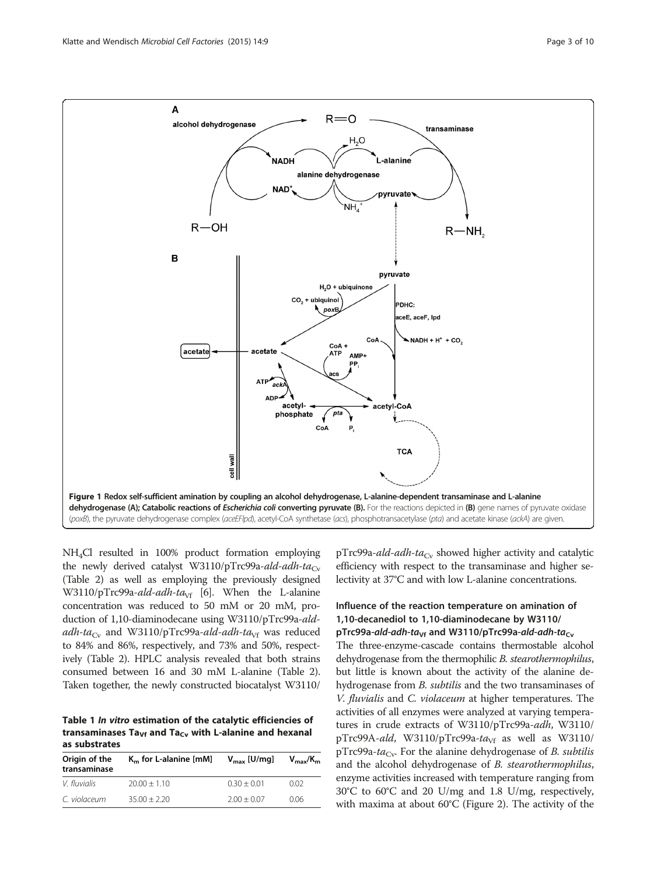<span id="page-2-0"></span>

NH4Cl resulted in 100% product formation employing the newly derived catalyst W3110/pTrc99a-ald-adh-ta<sub>Cv</sub> (Table [2](#page-3-0)) as well as employing the previously designed W3110/pTrc99a-ald-adh-ta<sub>Vf</sub> [\[6](#page-9-0)]. When the L-alanine concentration was reduced to 50 mM or 20 mM, production of 1,10-diaminodecane using W3110/pTrc99a-aldadh-ta<sub>Cv</sub> and W3110/pTrc99a-ald-adh-ta<sub>Vf</sub> was reduced to 84% and 86%, respectively, and 73% and 50%, respectively (Table [2](#page-3-0)). HPLC analysis revealed that both strains consumed between 16 and 30 mM L-alanine (Table [2](#page-3-0)). Taken together, the newly constructed biocatalyst W3110/

Table 1 In vitro estimation of the catalytic efficiencies of transaminases Ta<sub>Vf</sub> and Ta<sub>Cv</sub> with L-alanine and hexanal as substrates

| Origin of the<br>transaminase | $Km$ for L-alanine [mM] | $V_{\text{max}}$ [U/mg] | $V_{\rm max}/K_{\rm m}$ |
|-------------------------------|-------------------------|-------------------------|-------------------------|
| V. fluvialis                  | $20.00 + 1.10$          | $0.30 + 0.01$           | 0.02                    |
| C. violaceum                  | $35.00 + 2.20$          | $2.00 + 0.07$           | 0.06                    |

 $pTrc99a-add-adh-ta<sub>Cv</sub>$  showed higher activity and catalytic efficiency with respect to the transaminase and higher selectivity at 37°C and with low L-alanine concentrations.

# Influence of the reaction temperature on amination of 1,10-decanediol to 1,10-diaminodecane by W3110/ pTrc99a-ald-adh-ta<sub>Vf</sub> and W3110/pTrc99a-ald-adh-ta<sub>Cv</sub>

The three-enzyme-cascade contains thermostable alcohol dehydrogenase from the thermophilic *B. stearothermophilus*, but little is known about the activity of the alanine dehydrogenase from *B. subtilis* and the two transaminases of V. fluvialis and C. violaceum at higher temperatures. The activities of all enzymes were analyzed at varying temperatures in crude extracts of W3110/pTrc99a-adh, W3110/ pTrc99A-ald, W3110/pTrc99a-ta<sub>Vf</sub> as well as W3110/ pTrc99a-ta<sub>Cv</sub>. For the alanine dehydrogenase of *B. subtilis* and the alcohol dehydrogenase of B. stearothermophilus, enzyme activities increased with temperature ranging from 30°C to 60°C and 20 U/mg and 1.8 U/mg, respectively, with maxima at about 60°C (Figure [2\)](#page-3-0). The activity of the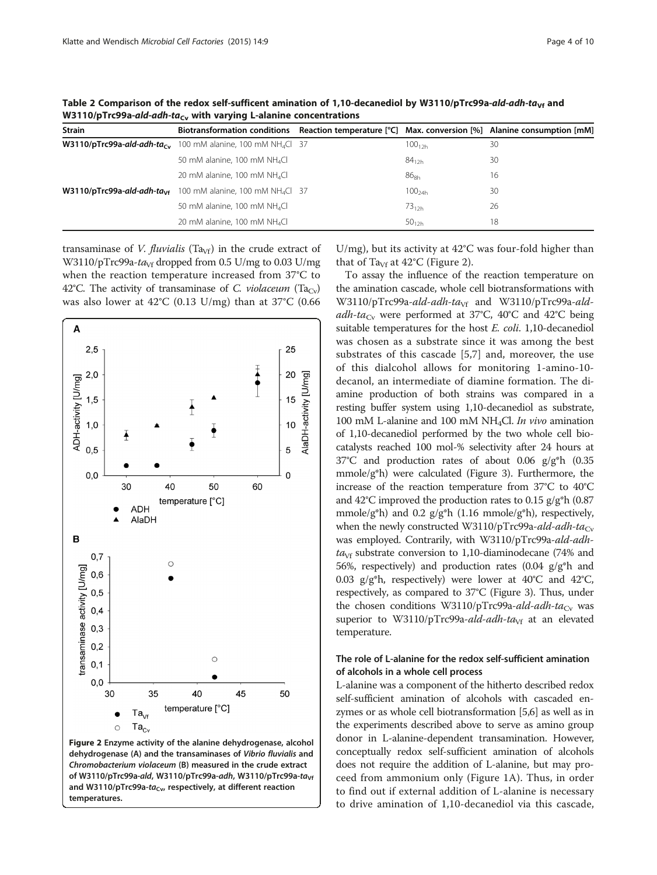| <b>Strain</b> | Biotransformation conditions Reaction temperature $[°C]$ Max. conversion $[%]$ Alanine consumption $[mM]$ |             |    |
|---------------|-----------------------------------------------------------------------------------------------------------|-------------|----|
|               | <b>W3110/pTrc99a-ald-adh-ta<sub>cy</sub></b> 100 mM alanine, 100 mM NH <sub>4</sub> Cl 37                 | $100_{12h}$ | 30 |
|               | 50 mM alanine, 100 mM $NH_4Cl$                                                                            | $84_{12h}$  | 30 |
|               | 20 mM alanine, 100 mM NH <sub>4</sub> Cl                                                                  | $86_{8h}$   | 16 |
|               | <b>W3110/pTrc99a-ald-adh-ta<sub>vf</sub></b> 100 mM alanine, 100 mM NH <sub>4</sub> Cl 37                 | $100_{24h}$ | 30 |
|               | 50 mM alanine, 100 mM NH <sub>4</sub> Cl                                                                  | $73_{12h}$  | 26 |
|               | 20 mM alanine, 100 mM NH <sub>4</sub> Cl                                                                  | $50_{12h}$  | 18 |

<span id="page-3-0"></span>Table 2 Comparison of the redox self-sufficent amination of 1,10-decanediol by W3110/pTrc99a-ald-adh-ta<sub>Vf</sub> and W3110/pTrc99a-ald-adh-ta<sub>Cv</sub> with varying L-alanine concentrations

transaminase of *V. fluvialis* (Ta<sub>Vf</sub>) in the crude extract of W3110/pTrc99a-ta<sub>Vf</sub> dropped from 0.5 U/mg to 0.03 U/mg when the reaction temperature increased from 37°C to 42°C. The activity of transaminase of C. *violaceum* (Ta<sub>Cv</sub>) was also lower at 42°C (0.13 U/mg) than at 37°C (0.66



Figure 2 Enzyme activity of the alanine dehydrogenase, alcohol dehydrogenase (A) and the transaminases of Vibrio fluvialis and Chromobacterium violaceum (B) measured in the crude extract of W3110/pTrc99a-ald, W3110/pTrc99a-adh, W3110/pTrc99a-ta<sub>Vf</sub> and W3110/pTrc99a-ta<sub>Cv</sub>, respectively, at different reaction temperatures.

U/mg), but its activity at 42°C was four-fold higher than that of Ta<sub>Vf</sub> at  $42^{\circ}$ C (Figure 2).

To assay the influence of the reaction temperature on the amination cascade, whole cell biotransformations with W3110/pTrc99a-ald-adh-ta<sub>Vf</sub> and W3110/pTrc99a-aldadh-ta<sub>Cv</sub> were performed at 37°C, 40°C and 42°C being suitable temperatures for the host E. coli. 1,10-decanediol was chosen as a substrate since it was among the best substrates of this cascade [[5,7](#page-9-0)] and, moreover, the use of this dialcohol allows for monitoring 1-amino-10 decanol, an intermediate of diamine formation. The diamine production of both strains was compared in a resting buffer system using 1,10-decanediol as substrate, 100 mM L-alanine and 100 mM NH<sub>4</sub>Cl. In vivo amination of 1,10-decanediol performed by the two whole cell biocatalysts reached 100 mol-% selectivity after 24 hours at 37°C and production rates of about 0.06 g/g\*h (0.35 mmole/g\*h) were calculated (Figure [3\)](#page-4-0). Furthermore, the increase of the reaction temperature from 37°C to 40°C and 42°C improved the production rates to 0.15 g/g\*h (0.87 mmole/g\*h) and 0.2 g/g\*h (1.16 mmole/g\*h), respectively, when the newly constructed W3110/pTrc99a-ald-adh-ta<sub>Cv</sub> was employed. Contrarily, with W3110/pTrc99a-ald-adh $ta<sub>VF</sub>$  substrate conversion to 1,10-diaminodecane (74% and 56%, respectively) and production rates  $(0.04 \text{ g/g}^*h)$  and 0.03  $g/g^*h$ , respectively) were lower at 40°C and 42°C, respectively, as compared to 37°C (Figure [3\)](#page-4-0). Thus, under the chosen conditions W3110/pTrc99a-ald-adh-ta<sub>Cv</sub> was superior to W3110/pTrc99a-ald-adh-ta<sub>Vf</sub> at an elevated temperature.

# The role of L-alanine for the redox self-sufficient amination of alcohols in a whole cell process

L-alanine was a component of the hitherto described redox self-sufficient amination of alcohols with cascaded enzymes or as whole cell biotransformation [\[5,6](#page-9-0)] as well as in the experiments described above to serve as amino group donor in L-alanine-dependent transamination. However, conceptually redox self-sufficient amination of alcohols does not require the addition of L-alanine, but may proceed from ammonium only (Figure [1](#page-2-0)A). Thus, in order to find out if external addition of L-alanine is necessary to drive amination of 1,10-decanediol via this cascade,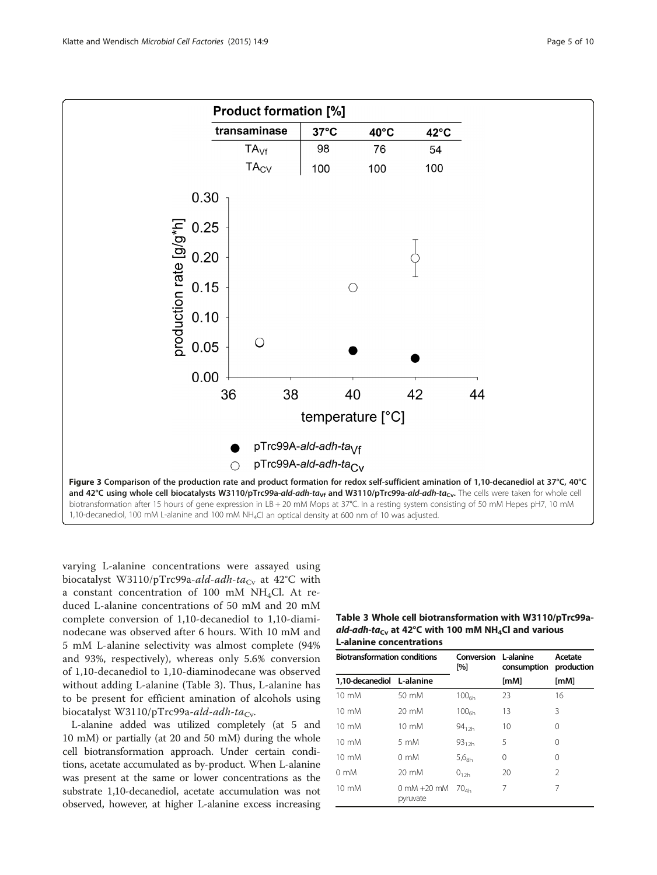<span id="page-4-0"></span>

varying L-alanine concentrations were assayed using biocatalyst W3110/pTrc99a-ald-adh-ta<sub>Cv</sub> at 42<sup>°</sup>C with a constant concentration of 100 mM  $NH<sub>4</sub>Cl$ . At reduced L-alanine concentrations of 50 mM and 20 mM complete conversion of 1,10-decanediol to 1,10-diaminodecane was observed after 6 hours. With 10 mM and 5 mM L-alanine selectivity was almost complete (94% and 93%, respectively), whereas only 5.6% conversion of 1,10-decanediol to 1,10-diaminodecane was observed without adding L-alanine (Table 3). Thus, L-alanine has to be present for efficient amination of alcohols using biocatalyst W3110/pTrc99a-ald-adh-ta<sub>Cv</sub>.

L-alanine added was utilized completely (at 5 and 10 mM) or partially (at 20 and 50 mM) during the whole cell biotransformation approach. Under certain conditions, acetate accumulated as by-product. When L-alanine was present at the same or lower concentrations as the substrate 1,10-decanediol, acetate accumulation was not observed, however, at higher L-alanine excess increasing

| Table 3 Whole cell biotransformation with W3110/pTrc99a-          |
|-------------------------------------------------------------------|
| ald-adh-ta $_{\rm cv}$ at 42°C with 100 mM NH $_4$ Cl and various |
| <b>L-alanine concentrations</b>                                   |

| <b>Biotransformation conditions</b> |                             | Conversion<br>[%] | L-alanine<br>consumption | Acetate<br>production |
|-------------------------------------|-----------------------------|-------------------|--------------------------|-----------------------|
| 1,10-decanediol L-alanine           |                             |                   | [ <b>mM</b> ]            | [ <b>mM</b> ]         |
| $10 \text{ mM}$                     | 50 mM                       | 100 <sub>6h</sub> | 23                       | 16                    |
| $10 \text{ mM}$                     | $20 \text{ mM}$             | 100 <sub>6h</sub> | 13                       | 3                     |
| $10 \text{ mM}$                     | $10 \text{ mM}$             | $94_{12h}$        | 10                       | 0                     |
| $10 \text{ mM}$                     | $5 \text{ mM}$              | $93_{12h}$        | 5                        | 0                     |
| $10 \text{ mM}$                     | $0 \text{ mM}$              | 5.6 <sub>8h</sub> | 0                        | $\Omega$              |
| $0 \text{ mM}$                      | 20 mM                       | $0_{12h}$         | 20                       | $\mathfrak{D}$        |
| $10 \text{ mM}$                     | $0$ mM $+20$ mM<br>pyruvate | 70 <sub>4h</sub>  | 7                        | 7                     |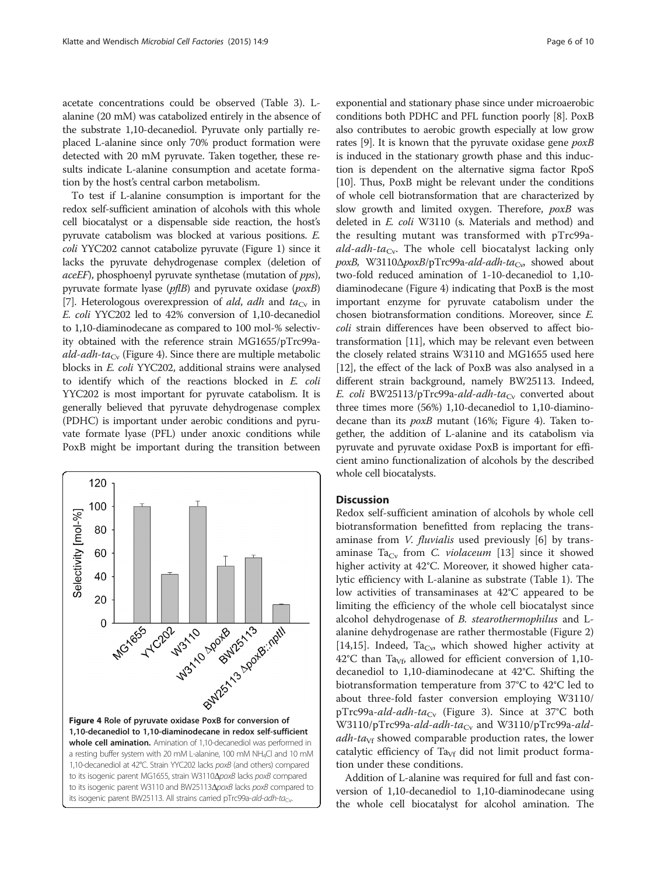acetate concentrations could be observed (Table [3](#page-4-0)). Lalanine (20 mM) was catabolized entirely in the absence of the substrate 1,10-decanediol. Pyruvate only partially replaced L-alanine since only 70% product formation were detected with 20 mM pyruvate. Taken together, these results indicate L-alanine consumption and acetate formation by the host's central carbon metabolism.

To test if L-alanine consumption is important for the redox self-sufficient amination of alcohols with this whole cell biocatalyst or a dispensable side reaction, the host's pyruvate catabolism was blocked at various positions. E. coli YYC202 cannot catabolize pyruvate (Figure [1](#page-2-0)) since it lacks the pyruvate dehydrogenase complex (deletion of aceEF), phosphoenyl pyruvate synthetase (mutation of pps), pyruvate formate lyase (pflB) and pyruvate oxidase (poxB) [[7](#page-9-0)]. Heterologous overexpression of ald, adh and  $ta_{Cv}$  in E. coli YYC202 led to 42% conversion of 1,10-decanediol to 1,10-diaminodecane as compared to 100 mol-% selectivity obtained with the reference strain MG1655/pTrc99a*ald-adh-ta*<sub>Cy</sub> (Figure 4). Since there are multiple metabolic blocks in E. coli YYC202, additional strains were analysed to identify which of the reactions blocked in E. coli YYC202 is most important for pyruvate catabolism. It is generally believed that pyruvate dehydrogenase complex (PDHC) is important under aerobic conditions and pyruvate formate lyase (PFL) under anoxic conditions while PoxB might be important during the transition between



exponential and stationary phase since under microaerobic conditions both PDHC and PFL function poorly [[8](#page-9-0)]. PoxB also contributes to aerobic growth especially at low grow rates [[9\]](#page-9-0). It is known that the pyruvate oxidase gene  $p(x)$ is induced in the stationary growth phase and this induction is dependent on the alternative sigma factor RpoS [[10](#page-9-0)]. Thus, PoxB might be relevant under the conditions of whole cell biotransformation that are characterized by slow growth and limited oxygen. Therefore,  $p(x)$  was deleted in E. coli W3110 (s. [Materials and method](#page-6-0)) and the resulting mutant was transformed with pTrc99aald-adh-ta<sub>Cy</sub>. The whole cell biocatalyst lacking only  $poxB$ , W3110 $\Delta poxB$ /pTrc99a-ald-adh-ta<sub>Cv</sub>, showed about two-fold reduced amination of 1-10-decanediol to 1,10 diaminodecane (Figure 4) indicating that PoxB is the most important enzyme for pyruvate catabolism under the chosen biotransformation conditions. Moreover, since E. coli strain differences have been observed to affect biotransformation [[11](#page-9-0)], which may be relevant even between the closely related strains W3110 and MG1655 used here [[12](#page-9-0)], the effect of the lack of PoxB was also analysed in a different strain background, namely BW25113. Indeed, E. coli BW25113/pTrc99a-ald-adh-ta<sub>Cv</sub> converted about three times more (56%) 1,10-decanediol to 1,10-diaminodecane than its poxB mutant (16%; Figure 4). Taken together, the addition of L-alanine and its catabolism via pyruvate and pyruvate oxidase PoxB is important for efficient amino functionalization of alcohols by the described whole cell biocatalysts.

#### **Discussion**

Redox self-sufficient amination of alcohols by whole cell biotransformation benefitted from replacing the transaminase from *V. fluvialis* used previously [\[6](#page-9-0)] by trans-aminase Ta<sub>Cy</sub> from C. violaceum [[13](#page-9-0)] since it showed higher activity at 42°C. Moreover, it showed higher catalytic efficiency with L-alanine as substrate (Table [1\)](#page-2-0). The low activities of transaminases at 42°C appeared to be limiting the efficiency of the whole cell biocatalyst since alcohol dehydrogenase of B. stearothermophilus and Lalanine dehydrogenase are rather thermostable (Figure [2](#page-3-0)) [[14,15\]](#page-9-0). Indeed, Ta<sub>Cv</sub>, which showed higher activity at 42°C than Ta<sub>Vf</sub>, allowed for efficient conversion of 1,10decanediol to 1,10-diaminodecane at 42°C. Shifting the biotransformation temperature from 37°C to 42°C led to about three-fold faster conversion employing W3110/ pTrc99a-ald-adh-ta<sub>Cv</sub> (Figure [3\)](#page-4-0). Since at 37°C both W3110/pTrc99a-ald-adh-ta<sub>Cv</sub> and W3110/pTrc99a-ald $adh-ta<sub>Vf</sub>$  showed comparable production rates, the lower catalytic efficiency of  $Ta<sub>Vf</sub>$  did not limit product formation under these conditions.

Addition of L-alanine was required for full and fast conversion of 1,10-decanediol to 1,10-diaminodecane using the whole cell biocatalyst for alcohol amination. The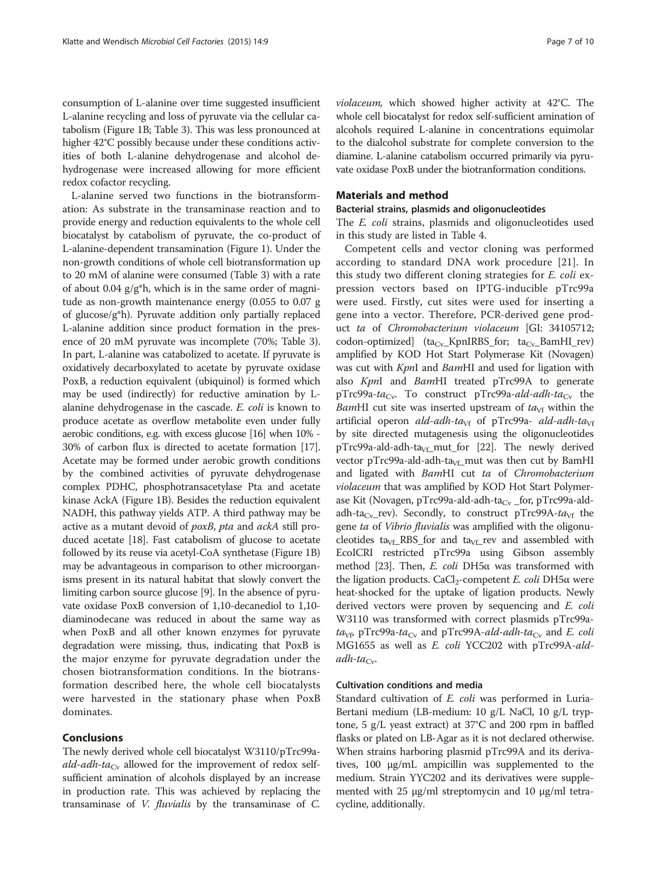<span id="page-6-0"></span>consumption of L-alanine over time suggested insufficient L-alanine recycling and loss of pyruvate via the cellular catabolism (Figure [1](#page-2-0)B; Table [3](#page-4-0)). This was less pronounced at higher 42°C possibly because under these conditions activities of both L-alanine dehydrogenase and alcohol dehydrogenase were increased allowing for more efficient redox cofactor recycling.

L-alanine served two functions in the biotransformation: As substrate in the transaminase reaction and to provide energy and reduction equivalents to the whole cell biocatalyst by catabolism of pyruvate, the co-product of L-alanine-dependent transamination (Figure [1\)](#page-2-0). Under the non-growth conditions of whole cell biotransformation up to 20 mM of alanine were consumed (Table [3](#page-4-0)) with a rate of about 0.04  $g/g*h$ , which is in the same order of magnitude as non-growth maintenance energy (0.055 to 0.07 g of glucose/g\*h). Pyruvate addition only partially replaced L-alanine addition since product formation in the presence of 20 mM pyruvate was incomplete (70%; Table [3](#page-4-0)). In part, L-alanine was catabolized to acetate. If pyruvate is oxidatively decarboxylated to acetate by pyruvate oxidase PoxB, a reduction equivalent (ubiquinol) is formed which may be used (indirectly) for reductive amination by Lalanine dehydrogenase in the cascade. E. coli is known to produce acetate as overflow metabolite even under fully aerobic conditions, e.g. with excess glucose [\[16](#page-9-0)] when 10% - 30% of carbon flux is directed to acetate formation [[17](#page-9-0)]. Acetate may be formed under aerobic growth conditions by the combined activities of pyruvate dehydrogenase complex PDHC, phosphotransacetylase Pta and acetate kinase AckA (Figure [1](#page-2-0)B). Besides the reduction equivalent NADH, this pathway yields ATP. A third pathway may be active as a mutant devoid of poxB, pta and ackA still produced acetate [[18](#page-9-0)]. Fast catabolism of glucose to acetate followed by its reuse via acetyl-CoA synthetase (Figure [1B](#page-2-0)) may be advantageous in comparison to other microorganisms present in its natural habitat that slowly convert the limiting carbon source glucose [\[9\]](#page-9-0). In the absence of pyruvate oxidase PoxB conversion of 1,10-decanediol to 1,10 diaminodecane was reduced in about the same way as when PoxB and all other known enzymes for pyruvate degradation were missing, thus, indicating that PoxB is the major enzyme for pyruvate degradation under the chosen biotransformation conditions. In the biotransformation described here, the whole cell biocatalysts were harvested in the stationary phase when PoxB dominates.

#### Conclusions

The newly derived whole cell biocatalyst W3110/pTrc99a*ald-adh-ta*<sub>Cy</sub> allowed for the improvement of redox selfsufficient amination of alcohols displayed by an increase in production rate. This was achieved by replacing the transaminase of V. fluvialis by the transaminase of C.

violaceum, which showed higher activity at 42°C. The whole cell biocatalyst for redox self-sufficient amination of alcohols required L-alanine in concentrations equimolar to the dialcohol substrate for complete conversion to the diamine. L-alanine catabolism occurred primarily via pyruvate oxidase PoxB under the biotranformation conditions.

### Materials and method

#### Bacterial strains, plasmids and oligonucleotides

The E. coli strains, plasmids and oligonucleotides used in this study are listed in Table [4](#page-7-0).

Competent cells and vector cloning was performed according to standard DNA work procedure [[21](#page-9-0)]. In this study two different cloning strategies for E. coli expression vectors based on IPTG-inducible pTrc99a were used. Firstly, cut sites were used for inserting a gene into a vector. Therefore, PCR-derived gene product ta of Chromobacterium violaceum [GI: 34105712;  $codon-optimized$   $(ta_{Cv}$  KpnIRBS\_for;  $ta_{Cv}$  BamHI\_rev) amplified by KOD Hot Start Polymerase Kit (Novagen) was cut with KpnI and BamHI and used for ligation with also KpnI and BamHI treated pTrc99A to generate pTrc99a-ta<sub>Cv</sub>. To construct pTrc99a-ald-adh-ta<sub>Cv</sub> the BamHI cut site was inserted upstream of  $ta<sub>Vf</sub>$  within the artificial operon ald-adh-ta<sub>Vf</sub> of pTrc99a- ald-adh-ta<sub>Vf</sub> by site directed mutagenesis using the oligonucleotides pTrc99a-ald-adh-ta<sub>Vf</sub>\_mut\_for [\[22\]](#page-9-0). The newly derived vector pTrc99a-ald-adh-ta $_{Vf_{\rm{}}-}$ mut was then cut by BamHI and ligated with BamHI cut ta of Chromobacterium violaceum that was amplified by KOD Hot Start Polymerase Kit (Novagen, pTrc99a-ald-adh-ta<sub>Cv</sub> \_for, pTrc99a-aldadh-ta<sub>Cv</sub>\_rev). Secondly, to construct pTrc99A-ta<sub>Vf</sub> the gene ta of Vibrio fluvialis was amplified with the oligonucleotides ta<sub>Vf</sub>\_RBS\_for and ta<sub>Vf</sub>\_rev and assembled with EcoICRI restricted pTrc99a using Gibson assembly method [\[23\]](#page-9-0). Then, E. coli DH5α was transformed with the ligation products. CaCl<sub>2</sub>-competent *E. coli* DH5α were heat-shocked for the uptake of ligation products. Newly derived vectors were proven by sequencing and E. coli W3110 was transformed with correct plasmids pTrc99a $ta<sub>Vf</sub>$ , pTrc99a-ta<sub>Cv</sub> and pTrc99A-ald-adh-ta<sub>Cv</sub> and E. coli MG1655 as well as E. coli YCC202 with pTrc99A-ald $adh$ -ta<sub>Cv</sub>.

#### Cultivation conditions and media

Standard cultivation of *E. coli* was performed in Luria-Bertani medium (LB-medium: 10 g/L NaCl, 10 g/L tryptone, 5 g/L yeast extract) at 37°C and 200 rpm in baffled flasks or plated on LB-Agar as it is not declared otherwise. When strains harboring plasmid pTrc99A and its derivatives, 100 μg/mL ampicillin was supplemented to the medium. Strain YYC202 and its derivatives were supplemented with 25 μg/ml streptomycin and 10 μg/ml tetracycline, additionally.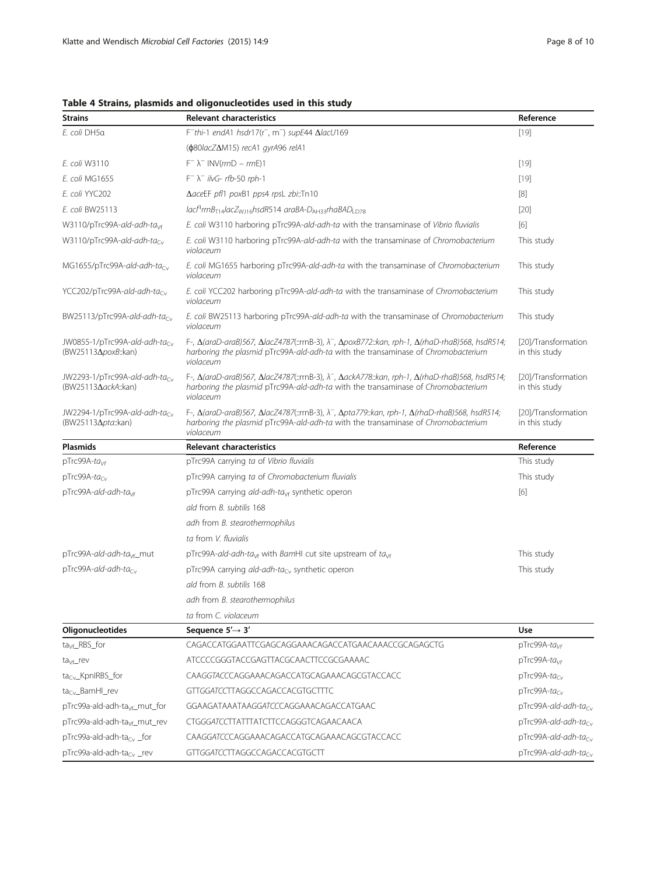| <b>Strains</b>                                                            | <b>Relevant characteristics</b>                                                                                                                                                                                                             | Reference                            |
|---------------------------------------------------------------------------|---------------------------------------------------------------------------------------------------------------------------------------------------------------------------------------------------------------------------------------------|--------------------------------------|
| E. coli DH5a                                                              | $F$ <sup>-thi-1</sup> endA1 hsdr17(r <sup>-</sup> , m <sup>-</sup> ) supE44 $\Delta$ lacU169                                                                                                                                                | $[19]$                               |
|                                                                           | ( $\phi$ 80lacZ $\Delta$ M15) recA1 gyrA96 relA1                                                                                                                                                                                            |                                      |
| E. coli W3110                                                             | $F^- \lambda^-$ INV(rmD – rmE)1                                                                                                                                                                                                             | $[19]$                               |
| E. coli MG1655                                                            | $F^{-} \lambda^{-}$ ilvG- rfb-50 rph-1                                                                                                                                                                                                      | $[19]$                               |
| E. coli YYC202                                                            | ΔaceEF pf/1 poxB1 pps4 rpsL zbi::Tn10                                                                                                                                                                                                       | $[8]$                                |
| E. coli BW25113                                                           | $lac[^{a}rrnB_{T14}lacZ_{W116}hsdR514~araBA-D_{AH33}rhABAD_{1D78}$                                                                                                                                                                          | $[20]$                               |
| W3110/pTrc99A-ald-adh-ta <sub>vf</sub>                                    | E. coli W3110 harboring pTrc99A-ald-adh-ta with the transaminase of Vibrio fluvialis                                                                                                                                                        | [6]                                  |
| W3110/pTrc99A-ald-adh-tacv                                                | E. coli W3110 harboring pTrc99A-ald-adh-ta with the transaminase of Chromobacterium<br>violaceum                                                                                                                                            | This study                           |
| MG1655/pTrc99A-ald-adh-ta <sub>cy</sub>                                   | E. coli MG1655 harboring pTrc99A-ald-adh-ta with the transaminase of Chromobacterium<br>violaceum                                                                                                                                           | This study                           |
| YCC202/pTrc99A-ald-adh-tacv                                               | E. coli YCC202 harboring pTrc99A-ald-adh-ta with the transaminase of Chromobacterium<br>violaceum                                                                                                                                           | This study                           |
| BW25113/pTrc99A-ald-adh-tacv                                              | E. coli BW25113 harboring pTrc99A-ald-adh-ta with the transaminase of Chromobacterium<br>violaceum                                                                                                                                          | This study                           |
| JW0855-1/pTrc99A-ald-adh-ta <sub>cv</sub><br>(BW25113Δ <i>poxB</i> ::kan) | F-, $\Delta$ (araD-araB)567, $\Delta$ lacZ4787(::rrnB-3), $\lambda^-$ , $\Delta$ poxB772::kan, rph-1, $\Delta$ (rhaD-rhaB)568, hsdR514;<br>harboring the plasmid pTrc99A-ald-adh-ta with the transaminase of Chromobacterium<br>violaceum   | [20]/Transformation<br>in this study |
| JW2293-1/pTrc99A-ald-adh-tacy<br>(BW25113∆ackA::kan)                      | F-, $\Delta$ (araD-araB)567, $\Delta$ lacZ4787(::rrnB-3), $\lambda^{-}$ , $\Delta$ ackA778::kan, rph-1, $\Delta$ (rhaD-rhaB)568, hsdR514;<br>harboring the plasmid pTrc99A-ald-adh-ta with the transaminase of Chromobacterium<br>violaceum | [20]/Transformation<br>in this study |
| JW2294-1/pTrc99A-ald-adh-ta $_{\rm{Cu}}$<br>(BW25113Δpta::kan)            | F-, $\Delta$ (araD-araB)567, $\Delta$ lacZ4787(::rrnB-3), $\lambda^-$ , $\Delta$ pta779::kan, rph-1, $\Delta$ (rhaD-rhaB)568, hsdR514;<br>harboring the plasmid pTrc99A-ald-adh-ta with the transaminase of Chromobacterium<br>violaceum    | [20]/Transformation<br>in this study |
|                                                                           |                                                                                                                                                                                                                                             |                                      |
| <b>Plasmids</b>                                                           | <b>Relevant characteristics</b>                                                                                                                                                                                                             | Reference                            |
| $pTrc99A-tavf$                                                            | pTrc99A carrying ta of Vibrio fluvialis                                                                                                                                                                                                     | This study                           |
| pTrc99A-ta <sub>Cv</sub>                                                  | pTrc99A carrying ta of Chromobacterium fluvialis                                                                                                                                                                                            | This study                           |
| pTrc99A-ald-adh-ta <sub>vf</sub>                                          | pTrc99A carrying $ald-add-ta_{\vee f}$ synthetic operon                                                                                                                                                                                     | [6]                                  |
|                                                                           | ald from B. subtilis 168                                                                                                                                                                                                                    |                                      |
|                                                                           | adh from B. stearothermophilus                                                                                                                                                                                                              |                                      |
|                                                                           | ta from V. fluvialis                                                                                                                                                                                                                        |                                      |
| pTrc99A-ald-adh-ta <sub>vf</sub> _mut                                     | pTrc99A-ald-adh-ta <sub>vf</sub> with BamHI cut site upstream of ta <sub>vf</sub>                                                                                                                                                           | This study                           |
| $pTrc99A$ -ald-adh-ta $c_v$                                               | pTrc99A carrying ald-adh-ta <sub>Cy</sub> synthetic operon                                                                                                                                                                                  | This study                           |
|                                                                           | ald from B. subtilis 168                                                                                                                                                                                                                    |                                      |
|                                                                           | adh from B. stearothermophilus                                                                                                                                                                                                              |                                      |
|                                                                           | ta from C. violaceum                                                                                                                                                                                                                        |                                      |
| <b>Oligonucleotides</b>                                                   | Sequence $5' \rightarrow 3'$                                                                                                                                                                                                                | Use                                  |
| $ta_{Vf}$ RBS for                                                         | CAGACCATGGAATTCGAGCAGGAAACAGACCATGAACAAACCGCAGAGCTG                                                                                                                                                                                         | $pTrc99A-tavf$                       |
| $taVf$ rev                                                                | ATCCCCGGGTACCGAGTTACGCAACTTCCGCGAAAAC                                                                                                                                                                                                       | pTrc99A-ta <sub>Vf</sub>             |
| $taCv$ _KpnIRBS_for                                                       | CAAGGTACCCAGGAAACAGACCATGCAGAAACAGCGTACCACC                                                                                                                                                                                                 | pTrc99A-ta <sub>Cv</sub>             |
| $taCv$ _BamHI_rev                                                         | GTTGGATCCTTAGGCCAGACCACGTGCTTTC                                                                                                                                                                                                             | $pTrc99A-tacy$                       |
| pTrc99a-ald-adh-ta <sub>vf</sub> _mut_for                                 | GGAAGATAAATAAGGATCCCAGGAAACAGACCATGAAC                                                                                                                                                                                                      | pTrc99A-ald-adh-ta <sub>Cv</sub>     |
| pTrc99a-ald-adh-ta <sub>vf</sub> _mut_rev                                 | CTGGGATCCTTATTTATCTTCCAGGGTCAGAACAACA                                                                                                                                                                                                       | $pTrc99A$ -ald-adh-ta $_{\rm{cv}}$   |
| pTrc99a-ald-adh-ta <sub>Cv</sub> _for                                     | CAAGGATCCCAGGAAACAGACCATGCAGAAACAGCGTACCACC                                                                                                                                                                                                 | $pTrc99A$ -ald-adh-ta $_{\rm Cv}$    |

<span id="page-7-0"></span>Table 4 Strains, plasmids and oligonucleotides used in this study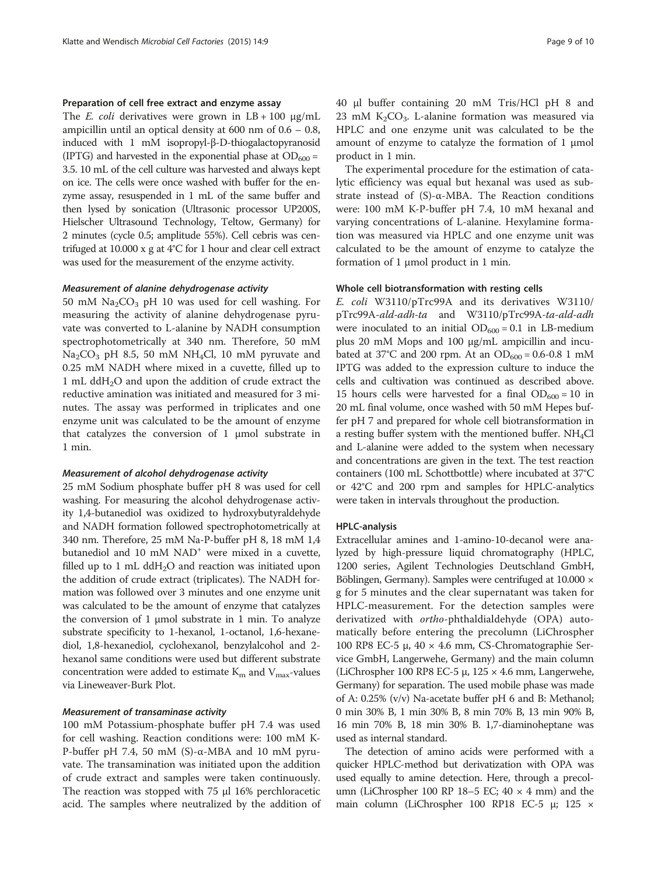#### Preparation of cell free extract and enzyme assay

The *E. coli* derivatives were grown in  $LB + 100 \mu g/mL$ ampicillin until an optical density at 600 nm of 0.6 – 0.8, induced with 1 mM isopropyl-β-D-thiogalactopyranosid (IPTG) and harvested in the exponential phase at  $OD_{600} =$ 3.5. 10 mL of the cell culture was harvested and always kept on ice. The cells were once washed with buffer for the enzyme assay, resuspended in 1 mL of the same buffer and then lysed by sonication (Ultrasonic processor UP200S, Hielscher Ultrasound Technology, Teltow, Germany) for 2 minutes (cycle 0.5; amplitude 55%). Cell cebris was centrifuged at 10.000 x g at 4°C for 1 hour and clear cell extract was used for the measurement of the enzyme activity.

#### Measurement of alanine dehydrogenase activity

50 mM  $\text{Na}_2\text{CO}_3$  pH 10 was used for cell washing. For measuring the activity of alanine dehydrogenase pyruvate was converted to L-alanine by NADH consumption spectrophotometrically at 340 nm. Therefore, 50 mM  $Na<sub>2</sub>CO<sub>3</sub>$  pH 8.5, 50 mM NH<sub>4</sub>Cl, 10 mM pyruvate and 0.25 mM NADH where mixed in a cuvette, filled up to 1 mL dd $H<sub>2</sub>O$  and upon the addition of crude extract the reductive amination was initiated and measured for 3 minutes. The assay was performed in triplicates and one enzyme unit was calculated to be the amount of enzyme that catalyzes the conversion of 1 μmol substrate in 1 min.

#### Measurement of alcohol dehydrogenase activity

25 mM Sodium phosphate buffer pH 8 was used for cell washing. For measuring the alcohol dehydrogenase activity 1,4-butanediol was oxidized to hydroxybutyraldehyde and NADH formation followed spectrophotometrically at 340 nm. Therefore, 25 mM Na-P-buffer pH 8, 18 mM 1,4 butanediol and 10 mM NAD<sup>+</sup> were mixed in a cuvette, filled up to 1 mL dd $H_2O$  and reaction was initiated upon the addition of crude extract (triplicates). The NADH formation was followed over 3 minutes and one enzyme unit was calculated to be the amount of enzyme that catalyzes the conversion of 1 μmol substrate in 1 min. To analyze substrate specificity to 1-hexanol, 1-octanol, 1,6-hexanediol, 1,8-hexanediol, cyclohexanol, benzylalcohol and 2 hexanol same conditions were used but different substrate concentration were added to estimate  $K<sub>m</sub>$  and  $V<sub>max</sub>$ -values via Lineweaver-Burk Plot.

# Measurement of transaminase activity

100 mM Potassium-phosphate buffer pH 7.4 was used for cell washing. Reaction conditions were: 100 mM K-P-buffer pH 7.4, 50 mM (S)-α-MBA and 10 mM pyruvate. The transamination was initiated upon the addition of crude extract and samples were taken continuously. The reaction was stopped with 75 μl 16% perchloracetic acid. The samples where neutralized by the addition of

40 μl buffer containing 20 mM Tris/HCl pH 8 and 23 mM  $K_2CO_3$ . L-alanine formation was measured via HPLC and one enzyme unit was calculated to be the amount of enzyme to catalyze the formation of 1 μmol product in 1 min.

The experimental procedure for the estimation of catalytic efficiency was equal but hexanal was used as substrate instead of (S)-α-MBA. The Reaction conditions were: 100 mM K-P-buffer pH 7.4, 10 mM hexanal and varying concentrations of L-alanine. Hexylamine formation was measured via HPLC and one enzyme unit was calculated to be the amount of enzyme to catalyze the formation of 1 μmol product in 1 min.

#### Whole cell biotransformation with resting cells

E. coli W3110/pTrc99A and its derivatives W3110/ pTrc99A-ald-adh-ta and W3110/pTrc99A-ta-ald-adh were inoculated to an initial  $OD_{600} = 0.1$  in LB-medium plus 20 mM Mops and 100 μg/mL ampicillin and incubated at 37°C and 200 rpm. At an  $OD_{600} = 0.6 - 0.8$  1 mM IPTG was added to the expression culture to induce the cells and cultivation was continued as described above. 15 hours cells were harvested for a final  $OD_{600} = 10$  in 20 mL final volume, once washed with 50 mM Hepes buffer pH 7 and prepared for whole cell biotransformation in a resting buffer system with the mentioned buffer.  $NH_4Cl$ and L-alanine were added to the system when necessary and concentrations are given in the text. The test reaction containers (100 mL Schottbottle) where incubated at 37°C or 42°C and 200 rpm and samples for HPLC-analytics were taken in intervals throughout the production.

#### HPLC-analysis

Extracellular amines and 1-amino-10-decanol were analyzed by high-pressure liquid chromatography (HPLC, 1200 series, Agilent Technologies Deutschland GmbH, Böblingen, Germany). Samples were centrifuged at 10.000 × g for 5 minutes and the clear supernatant was taken for HPLC-measurement. For the detection samples were derivatized with ortho-phthaldialdehyde (OPA) automatically before entering the precolumn (LiChrospher 100 RP8 EC-5 μ, 40 × 4.6 mm, CS-Chromatographie Service GmbH, Langerwehe, Germany) and the main column (LiChrospher 100 RP8 EC-5 μ,  $125 \times 4.6$  mm, Langerwehe, Germany) for separation. The used mobile phase was made of A: 0.25% (v/v) Na-acetate buffer pH 6 and B: Methanol; 0 min 30% B, 1 min 30% B, 8 min 70% B, 13 min 90% B, 16 min 70% B, 18 min 30% B. 1,7-diaminoheptane was used as internal standard.

The detection of amino acids were performed with a quicker HPLC-method but derivatization with OPA was used equally to amine detection. Here, through a precolumn (LiChrospher 100 RP 18–5 EC;  $40 \times 4$  mm) and the main column (LiChrospher 100 RP18 EC-5 μ; 125 ×